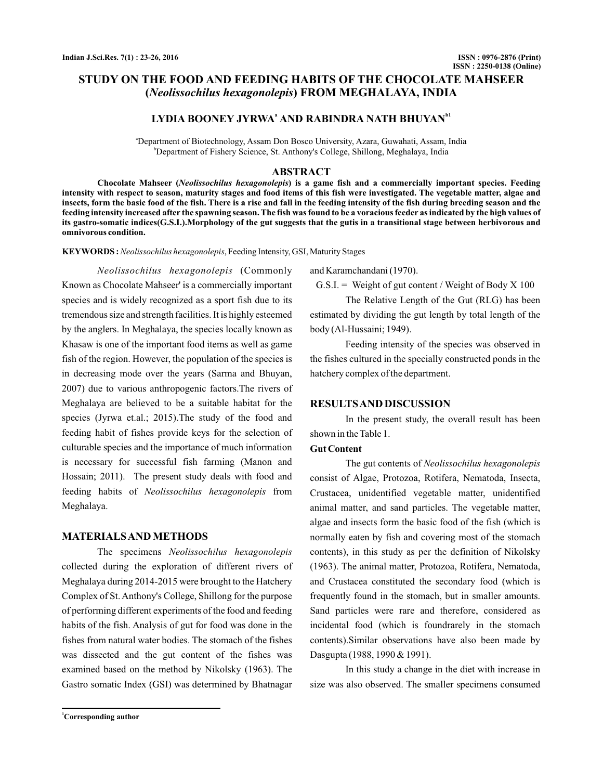# **STUDY ON THE FOOD AND FEEDING HABITS OF THE CHOCOLATE MAHSEER ( ) FROM MEGHALAYA, INDIA** *Neolissochilus hexagonolepis*

# LYDIA BOONEY JYRWA<sup>a</sup> AND RABINDRA NATH BHUYAN<sup>b1</sup>

a Department of Biotechnology, Assam Don Bosco University, Azara, Guwahati, Assam, India b Department of Fishery Science, St. Anthony's College, Shillong, Meghalaya, India

## **ABSTRACT**

Chocolate Mahseer (Neolissochilus hexagonolepis) is a game fish and a commercially important species. Feeding **intensity with respect to season, maturity stages and food items of this fish were investigated. The vegetable matter, algae and insects, form the basic food of the fish. There is a rise and fall in the feeding intensity of the fish during breeding season and the feeding intensity increased after the spawning season. The fish was found to be a voracious feeder as indicated by the high values of its gastro-somatic indices(G.S.I.).Morphology of the gut suggests that the gutis in a transitional stage between herbivorous and omnivorous condition.**

KEYWORDS: Neolissochilus hexagonolepis, Feeding Intensity, GSI, Maturity Stages

(Commonly *Neolissochilus hexagonolepis* Known as Chocolate Mahseer' is a commercially important species and is widely recognized as a sport fish due to its tremendous size and strength facilities. It is highly esteemed by the anglers. In Meghalaya, the species locally known as Khasaw is one of the important food items as well as game fish of the region. However, the population of the species is in decreasing mode over the years (Sarma and Bhuyan, 2007) due to various anthropogenic factors.The rivers of Meghalaya are believed to be a suitable habitat for the species (Jyrwa et.al.; 2015).The study of the food and feeding habit of fishes provide keys for the selection of culturable species and the importance of much information is necessary for successful fish farming (Manon and Hossain; 2011). The present study deals with food and feeding habits of Neolissochilus hexagonolepis from Meghalaya.

## **MATERIALSAND METHODS**

The specimens *Neolissochilus hexagonolepis* collected during the exploration of different rivers of Meghalaya during 2014-2015 were brought to the Hatchery Complex of St. Anthony's College, Shillong for the purpose of performing different experiments of the food and feeding habits of the fish. Analysis of gut for food was done in the fishes from natural water bodies. The stomach of the fishes was dissected and the gut content of the fishes was examined based on the method by Nikolsky (1963). The Gastro somatic Index (GSI) was determined by Bhatnagar

and Karamchandani (1970).

 $G.S.I. = Weight of gut content / Weight of Body X 100$ 

The Relative Length of the Gut (RLG) has been estimated by dividing the gut length by total length of the body (Al-Hussaini; 1949).

Feeding intensity of the species was observed in the fishes cultured in the specially constructed ponds in the hatchery complex of the department.

## **RESULTSAND DISCUSSION**

In the present study, the overall result has been shown in the Table 1.

## **Gut Content**

The gut contents of *Neolissochilus hexagonolepis* consist of Algae, Protozoa, Rotifera, Nematoda, Insecta, Crustacea, unidentified vegetable matter, unidentified animal matter, and sand particles. The vegetable matter, algae and insects form the basic food of the fish (which is normally eaten by fish and covering most of the stomach contents), in this study as per the definition of Nikolsky (1963). The animal matter, Protozoa, Rotifera, Nematoda, and Crustacea constituted the secondary food (which is frequently found in the stomach, but in smaller amounts. Sand particles were rare and therefore, considered as incidental food (which is foundrarely in the stomach contents).Similar observations have also been made by Dasgupta (1988, 1990 & 1991).

In this study a change in the diet with increase in size was also observed. The smaller specimens consumed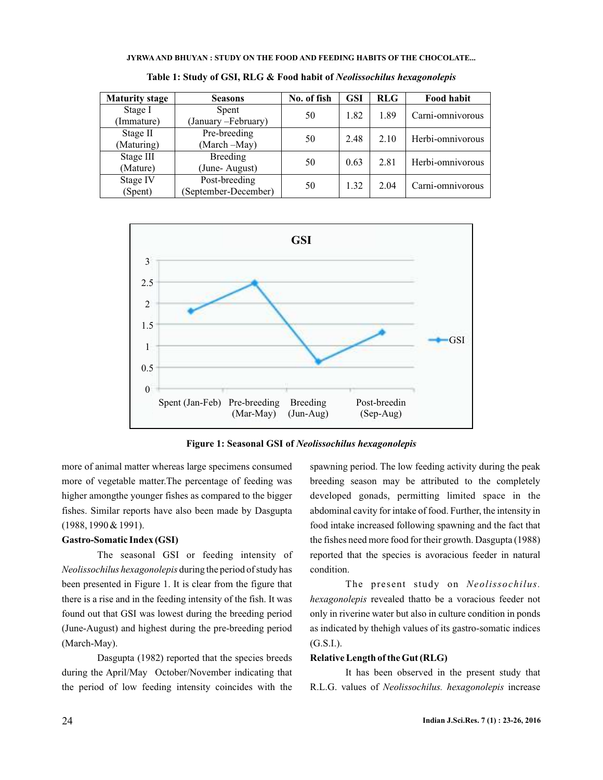#### **JYRWA AND BHUYAN : STUDY ON THE FOOD AND FEEDING HABITS OF THE CHOCOLATE...**

| <b>Maturity stage</b> | <b>Seasons</b>       | No. of fish | <b>GSI</b> | <b>RLG</b> | Food habit       |
|-----------------------|----------------------|-------------|------------|------------|------------------|
| Stage I               | Spent                | 50          | 1.82       | 1.89       | Carni-omnivorous |
| Immature)             | (January - February) |             |            |            |                  |
| Stage II              | Pre-breeding         | 50          | 2.48       | 2.10       | Herbi-omnivorous |
| (Maturing)            | (March -May)         |             |            |            |                  |
| Stage III             | <b>Breeding</b>      | 50          | 0.63       | 2.81       | Herbi-omnivorous |
| (Mature)              | (June-August)        |             |            |            |                  |
| Stage IV              | Post-breeding        | 50          | 1.32       | 2.04       | Carni-omnivorous |
| (Spent)               | (September-December) |             |            |            |                  |

**Table 1: Study of GSI, RLG & Food habit of** *Neolissochilus hexagonolepis*



**Figure 1: Seasonal GSI of** *Neolissochilus hexagonolepis*

more of animal matter whereas large specimens consumed more of vegetable matter.The percentage of feeding was higher amongthe younger fishes as compared to the bigger fishes. Similar reports have also been made by Dasgupta (1988, 1990 & 1991).

### **Gastro-Somatic Index (GSI)**

The seasonal GSI or feeding intensity of Neolissochilus hexagonolepis during the period of study has been presented in Figure 1. It is clear from the figure that there is a rise and in the feeding intensity of the fish. It was found out that GSI was lowest during the breeding period (June-August) and highest during the pre-breeding period (March-May).

Dasgupta (1982) reported that the species breeds during the April/May October/November indicating that the period of low feeding intensity coincides with the spawning period. The low feeding activity during the peak breeding season may be attributed to the completely developed gonads, permitting limited space in the abdominal cavity for intake of food. Further, the intensity in food intake increased following spawning and the fact that the fishes need more food for their growth. Dasgupta (1988) reported that the species is avoracious feeder in natural condition.

The present study on *Neolissochilus.* hexagonolepis revealed thatto be a voracious feeder not only in riverine water but also in culture condition in ponds as indicated by thehigh values of its gastro-somatic indices (G.S.I.).

## **Relative Length of the Gut (RLG)**

It has been observed in the present study that R.L.G. values of Neolissochilus. hexagonolepis increase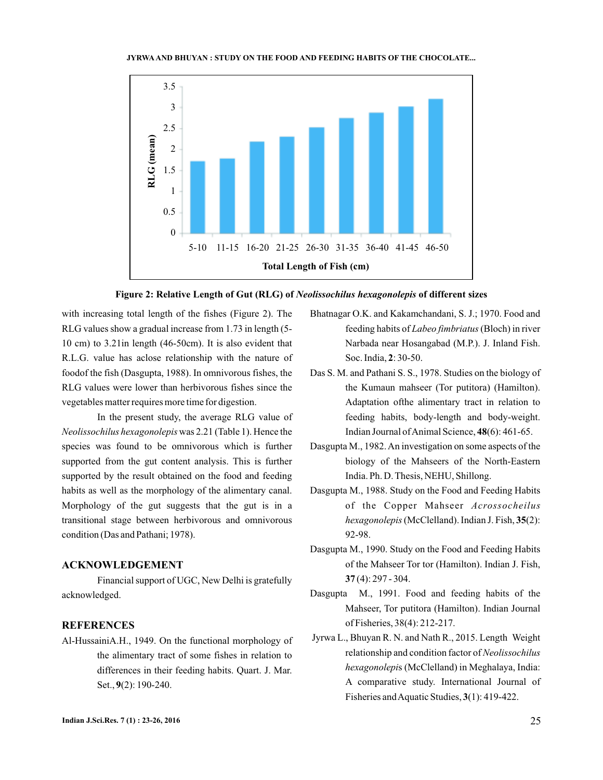#### **JYRWA AND BHUYAN : STUDY ON THE FOOD AND FEEDING HABITS OF THE CHOCOLATE...**





with increasing total length of the fishes (Figure 2). The RLG values show a gradual increase from 1.73 in length (5- 10 cm) to 3.21in length (46-50cm). It is also evident that R.L.G. value has aclose relationship with the nature of foodof the fish (Dasgupta, 1988). In omnivorous fishes, the RLG values were lower than herbivorous fishes since the vegetables matter requires more time for digestion.

In the present study, the average RLG value of Neolissochilus hexagonolepis was 2.21 (Table 1). Hence the species was found to be omnivorous which is further supported from the gut content analysis. This is further supported by the result obtained on the food and feeding habits as well as the morphology of the alimentary canal. Morphology of the gut suggests that the gut is in a transitional stage between herbivorous and omnivorous condition (Das and Pathani; 1978).

## **ACKNOWLEDGEMENT**

Financial support of UGC, New Delhi is gratefully acknowledged.

### **REFERENCES**

Al-HussainiA.H., 1949. On the functional morphology of the alimentary tract of some fishes in relation to differences in their feeding habits. Quart. J. Mar. Set., 9(2): 190-240.

- Bhatnagar O.K. and Kakamchandani, S. J.; 1970. Food and feeding habits of *Labeo fimbriatus* (Bloch) in river Narbada near Hosangabad (M.P.). J. Inland Fish. Soc. India, 2: 30-50.
- Das S. M. and Pathani S. S., 1978. Studies on the biology of the Kumaun mahseer (Tor putitora) (Hamilton). Adaptation ofthe alimentary tract in relation to feeding habits, body-length and body-weight. Indian Journal of Animal Science, 48(6): 461-65.
- Dasgupta M., 1982.An investigation on some aspects of the biology of the Mahseers of the North-Eastern India. Ph. D. Thesis, NEHU, Shillong.
- Dasgupta M., 1988. Study on the Food and Feeding Habits of the Copper Mahseer *Acrossocheilus* hexagonolepis (McClelland). Indian J. Fish, 35(2): 92-98.
- Dasgupta M., 1990. Study on the Food and Feeding Habits of the Mahseer Tor tor (Hamilton). Indian J. Fish, (4): 297 - 304. **37**
- Dasgupta M., 1991. Food and feeding habits of the Mahseer, Tor putitora (Hamilton). Indian Journal of Fisheries, 38(4): 212-217.
- Jyrwa L., Bhuyan R. N. and Nath R., 2015. Length Weight relationship and condition factor of *Neolissochilus* hexagonolepis (McClelland) in Meghalaya, India: A comparative study. International Journal of Fisheries and Aquatic Studies, 3(1): 419-422.